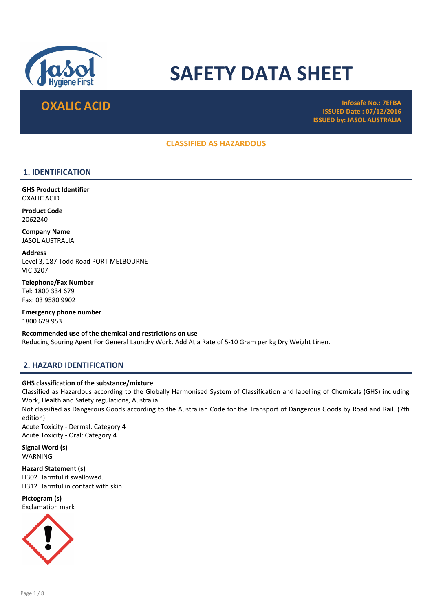

# SAFETY DATA SHEET

**OXALIC ACID Infosafe No.: 7EFBA** ISSUED Date : 07/12/2016 ISSUED by: JASOL AUSTRALIA

# CLASSIFIED AS HAZARDOUS

# 1. IDENTIFICATION

GHS Product Identifier OXALIC ACID

Product Code 2062240

Company Name JASOL AUSTRALIA

Address Level 3, 187 Todd Road PORT MELBOURNE VIC 3207

Telephone/Fax Number Tel: 1800 334 679 Fax: 03 9580 9902

Emergency phone number 1800 629 953

Recommended use of the chemical and restrictions on use Reducing Souring Agent For General Laundry Work. Add At a Rate of 5-10 Gram per kg Dry Weight Linen.

# 2. HAZARD IDENTIFICATION

#### GHS classification of the substance/mixture

Classified as Hazardous according to the Globally Harmonised System of Classification and labelling of Chemicals (GHS) including Work, Health and Safety regulations, Australia

Not classified as Dangerous Goods according to the Australian Code for the Transport of Dangerous Goods by Road and Rail. (7th edition)

Acute Toxicity - Dermal: Category 4 Acute Toxicity - Oral: Category 4

Signal Word (s) WARNING

Hazard Statement (s) H302 Harmful if swallowed. H312 Harmful in contact with skin.

Pictogram (s) Exclamation mark

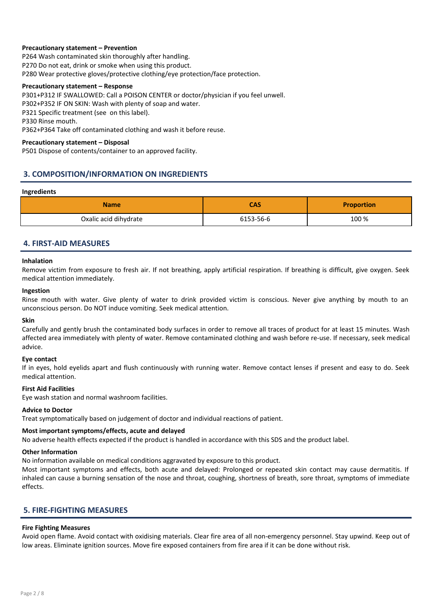#### Precautionary statement – Prevention

P264 Wash contaminated skin thoroughly after handling. P270 Do not eat, drink or smoke when using this product. P280 Wear protective gloves/protective clothing/eye protection/face protection.

#### Precautionary statement – Response

P301+P312 IF SWALLOWED: Call a POISON CENTER or doctor/physician if you feel unwell. P302+P352 IF ON SKIN: Wash with plenty of soap and water. P321 Specific treatment (see on this label). P330 Rinse mouth. P362+P364 Take off contaminated clothing and wash it before reuse.

#### Precautionary statement – Disposal

P501 Dispose of contents/container to an approved facility.

# 3. COMPOSITION/INFORMATION ON INGREDIENTS

#### Ingredients

| <b>Name</b>           | <b>CAS</b> | <b>Proportion</b> |
|-----------------------|------------|-------------------|
| Oxalic acid dihydrate | 6153-56-6  | 100 %             |

# 4. FIRST-AID MEASURES

#### Inhalation

Remove victim from exposure to fresh air. If not breathing, apply artificial respiration. If breathing is difficult, give oxygen. Seek medical attention immediately.

#### Ingestion

Rinse mouth with water. Give plenty of water to drink provided victim is conscious. Never give anything by mouth to an unconscious person. Do NOT induce vomiting. Seek medical attention.

#### Skin

Carefully and gently brush the contaminated body surfaces in order to remove all traces of product for at least 15 minutes. Wash affected area immediately with plenty of water. Remove contaminated clothing and wash before re-use. If necessary, seek medical advice.

#### Eye contact

If in eyes, hold eyelids apart and flush continuously with running water. Remove contact lenses if present and easy to do. Seek medical attention.

#### First Aid Facilities

Eye wash station and normal washroom facilities.

#### Advice to Doctor

Treat symptomatically based on judgement of doctor and individual reactions of patient.

#### Most important symptoms/effects, acute and delayed

No adverse health effects expected if the product is handled in accordance with this SDS and the product label.

#### Other Information

No information available on medical conditions aggravated by exposure to this product.

Most important symptoms and effects, both acute and delayed: Prolonged or repeated skin contact may cause dermatitis. If inhaled can cause a burning sensation of the nose and throat, coughing, shortness of breath, sore throat, symptoms of immediate effects.

# 5. FIRE-FIGHTING MEASURES

#### Fire Fighting Measures

Avoid open flame. Avoid contact with oxidising materials. Clear fire area of all non-emergency personnel. Stay upwind. Keep out of low areas. Eliminate ignition sources. Move fire exposed containers from fire area if it can be done without risk.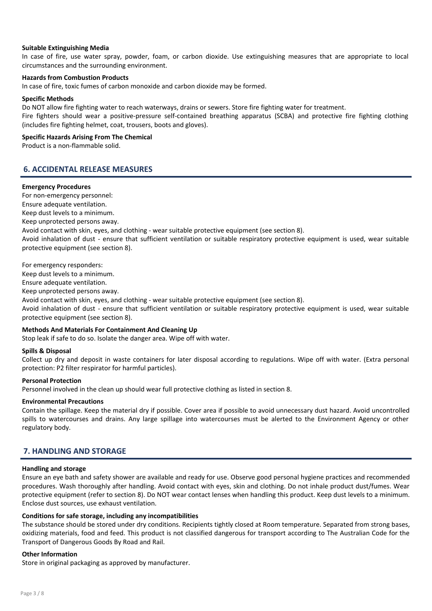#### Suitable Extinguishing Media

In case of fire, use water spray, powder, foam, or carbon dioxide. Use extinguishing measures that are appropriate to local circumstances and the surrounding environment.

#### Hazards from Combustion Products

In case of fire, toxic fumes of carbon monoxide and carbon dioxide may be formed.

#### Specific Methods

Do NOT allow fire fighting water to reach waterways, drains or sewers. Store fire fighting water for treatment. Fire fighters should wear a positive-pressure self-contained breathing apparatus (SCBA) and protective fire fighting clothing (includes fire fighting helmet, coat, trousers, boots and gloves).

#### Specific Hazards Arising From The Chemical

Product is a non-flammable solid.

# 6. ACCIDENTAL RELEASE MEASURES

#### Emergency Procedures

For non-emergency personnel: Ensure adequate ventilation. Keep dust levels to a minimum. Keep unprotected persons away. Avoid contact with skin, eyes, and clothing - wear suitable protective equipment (see section 8). Avoid inhalation of dust - ensure that sufficient ventilation or suitable respiratory protective equipment is used, wear suitable protective equipment (see section 8).

For emergency responders:

Keep dust levels to a minimum.

Ensure adequate ventilation.

Keep unprotected persons away.

Avoid contact with skin, eyes, and clothing - wear suitable protective equipment (see section 8).

Avoid inhalation of dust - ensure that sufficient ventilation or suitable respiratory protective equipment is used, wear suitable protective equipment (see section 8).

#### Methods And Materials For Containment And Cleaning Up

Stop leak if safe to do so. Isolate the danger area. Wipe off with water.

#### Spills & Disposal

Collect up dry and deposit in waste containers for later disposal according to regulations. Wipe off with water. (Extra personal protection: P2 filter respirator for harmful particles).

#### Personal Protection

Personnel involved in the clean up should wear full protective clothing as listed in section 8.

# Environmental Precautions

Contain the spillage. Keep the material dry if possible. Cover area if possible to avoid unnecessary dust hazard. Avoid uncontrolled spills to watercourses and drains. Any large spillage into watercourses must be alerted to the Environment Agency or other regulatory body.

# 7. HANDLING AND STORAGE

#### Handling and storage

Ensure an eye bath and safety shower are available and ready for use. Observe good personal hygiene practices and recommended procedures. Wash thoroughly after handling. Avoid contact with eyes, skin and clothing. Do not inhale product dust/fumes. Wear protective equipment (refer to section 8). Do NOT wear contact lenses when handling this product. Keep dust levels to a minimum. Enclose dust sources, use exhaust ventilation.

#### Conditions for safe storage, including any incompatibilities

The substance should be stored under dry conditions. Recipients tightly closed at Room temperature. Separated from strong bases, oxidizing materials, food and feed. This product is not classified dangerous for transport according to The Australian Code for the Transport of Dangerous Goods By Road and Rail.

#### Other Information

Store in original packaging as approved by manufacturer.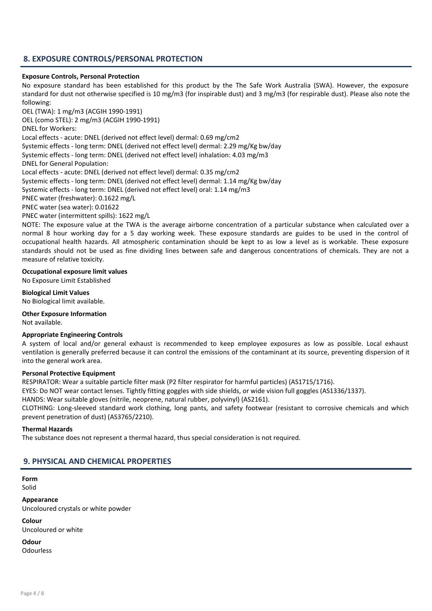# 8. EXPOSURE CONTROLS/PERSONAL PROTECTION

#### Exposure Controls, Personal Protection

No exposure standard has been established for this product by the The Safe Work Australia (SWA). However, the exposure standard for dust not otherwise specified is 10 mg/m3 (for inspirable dust) and 3 mg/m3 (for respirable dust). Please also note the following:

OEL (TWA): 1 mg/m3 (ACGIH 1990-1991)

OEL (como STEL): 2 mg/m3 (ACGIH 1990-1991)

DNEL for Workers:

Local effects - acute: DNEL (derived not effect level) dermal: 0.69 mg/cm2

Systemic effects - long term: DNEL (derived not effect level) dermal: 2.29 mg/Kg bw/day

Systemic effects - long term: DNEL (derived not effect level) inhalation: 4.03 mg/m3

DNEL for General Population:

Local effects - acute: DNEL (derived not effect level) dermal: 0.35 mg/cm2

Systemic effects - long term: DNEL (derived not effect level) dermal: 1.14 mg/Kg bw/day

Systemic effects - long term: DNEL (derived not effect level) oral: 1.14 mg/m3

PNEC water (freshwater): 0.1622 mg/L

PNEC water (sea water): 0.01622

PNEC water (intermittent spills): 1622 mg/L

NOTE: The exposure value at the TWA is the average airborne concentration of a particular substance when calculated over a normal 8 hour working day for a 5 day working week. These exposure standards are guides to be used in the control of occupational health hazards. All atmospheric contamination should be kept to as low a level as is workable. These exposure standards should not be used as fine dividing lines between safe and dangerous concentrations of chemicals. They are not a measure of relative toxicity.

### Occupational exposure limit values

No Exposure Limit Established

Biological Limit Values No Biological limit available.

Other Exposure Information Not available.

#### Appropriate Engineering Controls

A system of local and/or general exhaust is recommended to keep employee exposures as low as possible. Local exhaust ventilation is generally preferred because it can control the emissions of the contaminant at its source, preventing dispersion of it into the general work area.

#### Personal Protective Equipment

RESPIRATOR: Wear a suitable particle filter mask (P2 filter respirator for harmful particles) (AS1715/1716).

EYES: Do NOT wear contact lenses. Tightly fitting goggles with side shields, or wide vision full goggles (AS1336/1337).

HANDS: Wear suitable gloves (nitrile, neoprene, natural rubber, polyvinyl) (AS2161).

CLOTHING: Long-sleeved standard work clothing, long pants, and safety footwear (resistant to corrosive chemicals and which prevent penetration of dust) (AS3765/2210).

#### Thermal Hazards

The substance does not represent a thermal hazard, thus special consideration is not required.

# 9. PHYSICAL AND CHEMICAL PROPERTIES

Form Solid

Appearance Uncoloured crystals or white powder

Colour Uncoloured or white

Odour Odourless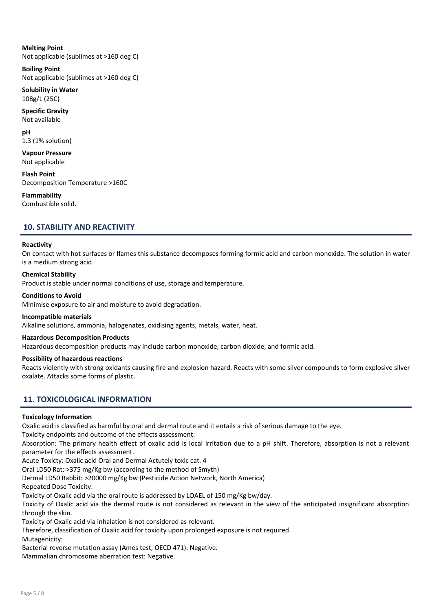Melting Point Not applicable (sublimes at >160 deg C)

Boiling Point Not applicable (sublimes at >160 deg C)

Solubility in Water 108g/L (25C)

Specific Gravity Not available

pH 1.3 (1% solution)

Vapour Pressure Not applicable

Flash Point Decomposition Temperature >160C

Flammability Combustible solid.

# 10. STABILITY AND REACTIVITY

#### Reactivity

On contact with hot surfaces or flames this substance decomposes forming formic acid and carbon monoxide. The solution in water is a medium strong acid.

### Chemical Stability

Product is stable under normal conditions of use, storage and temperature.

#### Conditions to Avoid

Minimise exposure to air and moisture to avoid degradation.

Incompatible materials

Alkaline solutions, ammonia, halogenates, oxidising agents, metals, water, heat.

#### Hazardous Decomposition Products

Hazardous decomposition products may include carbon monoxide, carbon dioxide, and formic acid.

#### Possibility of hazardous reactions

Reacts violently with strong oxidants causing fire and explosion hazard. Reacts with some silver compounds to form explosive silver oxalate. Attacks some forms of plastic.

# 11. TOXICOLOGICAL INFORMATION

#### Toxicology Information

Oxalic acid is classified as harmful by oral and dermal route and it entails a risk of serious damage to the eye.

Toxicity endpoints and outcome of the effects assessment:

Absorption: The primary health effect of oxalic acid is local irritation due to a pH shift. Therefore, absorption is not a relevant parameter for the effects assessment.

Acute Toxicty: Oxalic acid Oral and Dermal Actutely toxic cat. 4

Oral LD50 Rat: >375 mg/Kg bw (according to the method of Smyth)

Dermal LD50 Rabbit: >20000 mg/Kg bw (Pesticide Action Network, North America)

Repeated Dose Toxicity:

Toxicity of Oxalic acid via the oral route is addressed by LOAEL of 150 mg/Kg bw/day.

Toxicity of Oxalic acid via the dermal route is not considered as relevant in the view of the anticipated insignificant absorption through the skin.

Toxicity of Oxalic acid via inhalation is not considered as relevant.

Therefore, classification of Oxalic acid for toxicity upon prolonged exposure is not required.

Mutagenicity:

Bacterial reverse mutation assay (Ames test, OECD 471): Negative.

Mammalian chromosome aberration test: Negative.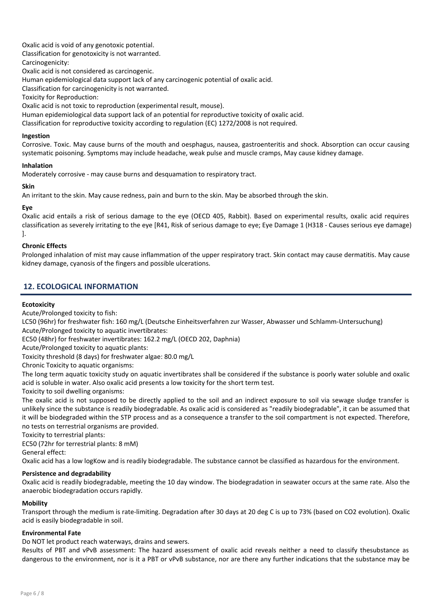Oxalic acid is void of any genotoxic potential.

Classification for genotoxicity is not warranted.

Carcinogenicity:

Oxalic acid is not considered as carcinogenic.

Human epidemiological data support lack of any carcinogenic potential of oxalic acid.

Classification for carcinogenicity is not warranted.

Toxicity for Reproduction:

Oxalic acid is not toxic to reproduction (experimental result, mouse).

Human epidemiological data support lack of an potential for reproductive toxicity of oxalic acid.

Classification for reproductive toxicity according to regulation (EC) 1272/2008 is not required.

#### Ingestion

Corrosive. Toxic. May cause burns of the mouth and oesphagus, nausea, gastroenteritis and shock. Absorption can occur causing systematic poisoning. Symptoms may include headache, weak pulse and muscle cramps, May cause kidney damage.

### Inhalation

Moderately corrosive - may cause burns and desquamation to respiratory tract.

### Skin

An irritant to the skin. May cause redness, pain and burn to the skin. May be absorbed through the skin.

# Eye

Oxalic acid entails a risk of serious damage to the eye (OECD 405, Rabbit). Based on experimental results, oxalic acid requires classification as severely irritating to the eye [R41, Risk of serious damage to eye; Eye Damage 1 (H318 - Causes serious eye damage) ].

# Chronic Effects

Prolonged inhalation of mist may cause inflammation of the upper respiratory tract. Skin contact may cause dermatitis. May cause kidney damage, cyanosis of the fingers and possible ulcerations.

# 12. ECOLOGICAL INFORMATION

# **Ecotoxicity**

Acute/Prolonged toxicity to fish:

LC50 (96hr) for freshwater fish: 160 mg/L (Deutsche Einheitsverfahren zur Wasser, Abwasser und Schlamm-Untersuchung) Acute/Prolonged toxicity to aquatic invertibrates:

EC50 (48hr) for freshwater invertibrates: 162.2 mg/L (OECD 202, Daphnia)

Acute/Prolonged toxicity to aquatic plants:

Toxicity threshold (8 days) for freshwater algae: 80.0 mg/L

Chronic Toxicity to aquatic organisms:

The long term aquatic toxicity study on aquatic invertibrates shall be considered if the substance is poorly water soluble and oxalic acid is soluble in water. Also oxalic acid presents a low toxicity for the short term test.

Toxicity to soil dwelling organisms:

The oxalic acid is not supposed to be directly applied to the soil and an indirect exposure to soil via sewage sludge transfer is unlikely since the substance is readily biodegradable. As oxalic acid is considered as "readily biodegradable", it can be assumed that it will be biodegraded within the STP process and as a consequence a transfer to the soil compartment is not expected. Therefore, no tests on terrestrial organisms are provided.

Toxicity to terrestrial plants:

EC50 (72hr for terrestrial plants: 8 mM) General effect:

Oxalic acid has a low logKow and is readily biodegradable. The substance cannot be classified as hazardous for the environment.

# Persistence and degradability

Oxalic acid is readily biodegradable, meeting the 10 day window. The biodegradation in seawater occurs at the same rate. Also the anaerobic biodegradation occurs rapidly.

#### **Mobility**

Transport through the medium is rate-limiting. Degradation after 30 days at 20 deg C is up to 73% (based on CO2 evolution). Oxalic acid is easily biodegradable in soil.

#### Environmental Fate

Do NOT let product reach waterways, drains and sewers.

Results of PBT and vPvB assessment: The hazard assessment of oxalic acid reveals neither a need to classify thesubstance as dangerous to the environment, nor is it a PBT or vPvB substance, nor are there any further indications that the substance may be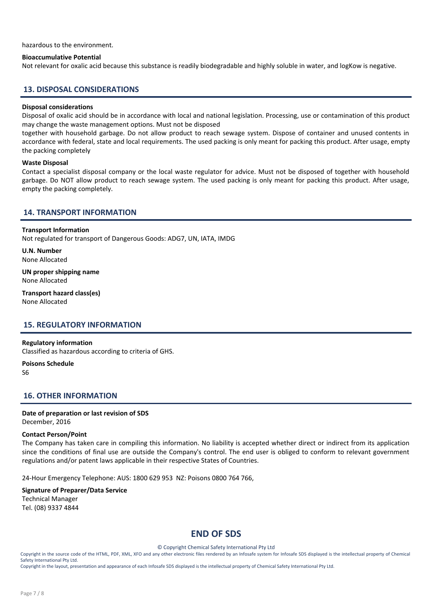#### hazardous to the environment.

#### Bioaccumulative Potential

Not relevant for oxalic acid because this substance is readily biodegradable and highly soluble in water, and logKow is negative.

#### 13. DISPOSAL CONSIDERATIONS

#### Disposal considerations

Disposal of oxalic acid should be in accordance with local and national legislation. Processing, use or contamination of this product may change the waste management options. Must not be disposed

together with household garbage. Do not allow product to reach sewage system. Dispose of container and unused contents in accordance with federal, state and local requirements. The used packing is only meant for packing this product. After usage, empty the packing completely

#### Waste Disposal

Contact a specialist disposal company or the local waste regulator for advice. Must not be disposed of together with household garbage. Do NOT allow product to reach sewage system. The used packing is only meant for packing this product. After usage, empty the packing completely.

## 14. TRANSPORT INFORMATION

#### Transport Information

Not regulated for transport of Dangerous Goods: ADG7, UN, IATA, IMDG

U.N. Number None Allocated

UN proper shipping name None Allocated

Transport hazard class(es) None Allocated

#### 15. REGULATORY INFORMATION

#### Regulatory information

Classified as hazardous according to criteria of GHS.

Poisons Schedule S6

#### 16. OTHER INFORMATION

#### Date of preparation or last revision of SDS December, 2016

#### Contact Person/Point

The Company has taken care in compiling this information. No liability is accepted whether direct or indirect from its application since the conditions of final use are outside the Company's control. The end user is obliged to conform to relevant government regulations and/or patent laws applicable in their respective States of Countries.

24-Hour Emergency Telephone: AUS: 1800 629 953 NZ: Poisons 0800 764 766,

#### Signature of Preparer/Data Service Technical Manager Tel. (08) 9337 4844

# END OF SDS

© Copyright Chemical Safety International Pty Ltd

Copyright in the source code of the HTML, PDF, XML, XFO and any other electronic files rendered by an Infosafe system for Infosafe SDS displayed is the intellectual property of Chemical Safety International Pty Ltd.

Copyright in the layout, presentation and appearance of each Infosafe SDS displayed is the intellectual property of Chemical Safety International Pty Ltd.